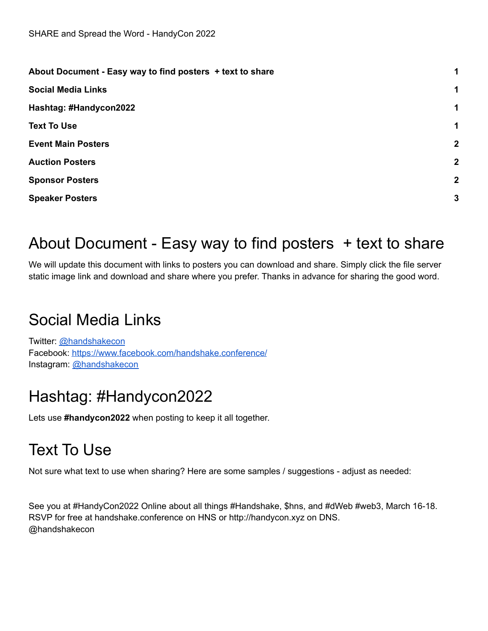| About Document - Easy way to find posters + text to share |              |
|-----------------------------------------------------------|--------------|
| <b>Social Media Links</b>                                 | 1            |
| Hashtag: #Handycon2022                                    | 1            |
| <b>Text To Use</b>                                        | 1            |
| <b>Event Main Posters</b>                                 | $\mathbf{2}$ |
| <b>Auction Posters</b>                                    | $\mathbf{2}$ |
| <b>Sponsor Posters</b>                                    | $\mathbf{2}$ |
| <b>Speaker Posters</b>                                    | 3            |
|                                                           |              |

### <span id="page-0-0"></span>About Document - Easy way to find posters + text to share

We will update this document with links to posters you can download and share. Simply click the file server static image link and download and share where you prefer. Thanks in advance for sharing the good word.

### <span id="page-0-1"></span>Social Media Links

Twitter: [@handshakecon](https://twitter.com/handshakecon) Facebook: <https://www.facebook.com/handshake.conference/> Instagram: [@handshakecon](https://www.instagram.com/handshakecon/)

### <span id="page-0-2"></span>Hashtag: #Handycon2022

<span id="page-0-3"></span>Lets use **#handycon2022** when posting to keep it all together.

## Text To Use

Not sure what text to use when sharing? Here are some samples / suggestions - adjust as needed:

See you at #HandyCon2022 Online about all things #Handshake, \$hns, and #dWeb #web3, March 16-18. RSVP for free at handshake.conference on HNS or http://handycon.xyz on DNS. @handshakecon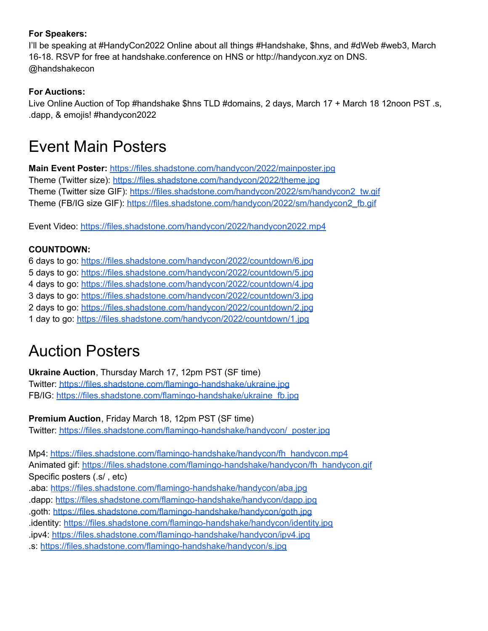#### **For Speakers:**

I'll be speaking at #HandyCon2022 Online about all things #Handshake, \$hns, and #dWeb #web3, March 16-18. RSVP for free at handshake.conference on HNS or http://handycon.xyz on DNS. @handshakecon

#### **For Auctions:**

Live Online Auction of Top #handshake \$hns TLD #domains, 2 days, March 17 + March 18 12noon PST .s, .dapp, & emojis! #handycon2022

### <span id="page-1-0"></span>Event Main Posters

**Main Event Poster:** <https://files.shadstone.com/handycon/2022/mainposter.jpg> Theme (Twitter size): <https://files.shadstone.com/handycon/2022/theme.jpg> Theme (Twitter size GIF): [https://files.shadstone.com/handycon/2022/sm/handycon2\\_tw.gif](https://files.shadstone.com/handycon/2022/sm/handycon2_tw.gif) Theme (FB/IG size GIF): [https://files.shadstone.com/handycon/2022/sm/handycon2\\_fb.gif](https://files.shadstone.com/handycon/2022/sm/handycon2_fb.gif)

Event Video: <https://files.shadstone.com/handycon/2022/handycon2022.mp4>

#### **COUNTDOWN:**

 days to go: <https://files.shadstone.com/handycon/2022/countdown/6.jpg> days to go: <https://files.shadstone.com/handycon/2022/countdown/5.jpg> days to go: <https://files.shadstone.com/handycon/2022/countdown/4.jpg> days to go: <https://files.shadstone.com/handycon/2022/countdown/3.jpg> days to go: <https://files.shadstone.com/handycon/2022/countdown/2.jpg> day to go: <https://files.shadstone.com/handycon/2022/countdown/1.jpg>

### <span id="page-1-1"></span>Auction Posters

**Ukraine Auction**, Thursday March 17, 12pm PST (SF time) Twitter: <https://files.shadstone.com/flamingo-handshake/ukraine.jpg> FB/IG: [https://files.shadstone.com/flamingo-handshake/ukraine\\_fb.jpg](https://files.shadstone.com/flamingo-handshake/ukraine_fb.jpg)

**Premium Auction**, Friday March 18, 12pm PST (SF time) Twitter: [https://files.shadstone.com/flamingo-handshake/handycon/\\_poster.jpg](https://files.shadstone.com/flamingo-handshake/handycon/_poster.jpg)

Mp4: [https://files.shadstone.com/flamingo-handshake/handycon/fh\\_handycon.mp4](https://files.shadstone.com/flamingo-handshake/handycon/fh_handycon.mp4) Animated gif: [https://files.shadstone.com/flamingo-handshake/handycon/fh\\_handycon.gif](https://files.shadstone.com/flamingo-handshake/handycon/fh_handycon.gif) Specific posters (.s/ , etc) .aba: <https://files.shadstone.com/flamingo-handshake/handycon/aba.jpg> .dapp: <https://files.shadstone.com/flamingo-handshake/handycon/dapp.jpg> .goth: <https://files.shadstone.com/flamingo-handshake/handycon/goth.jpg>

.identity: <https://files.shadstone.com/flamingo-handshake/handycon/identity.jpg>

.ipv4: <https://files.shadstone.com/flamingo-handshake/handycon/ipv4.jpg>

.s: <https://files.shadstone.com/flamingo-handshake/handycon/s.jpg>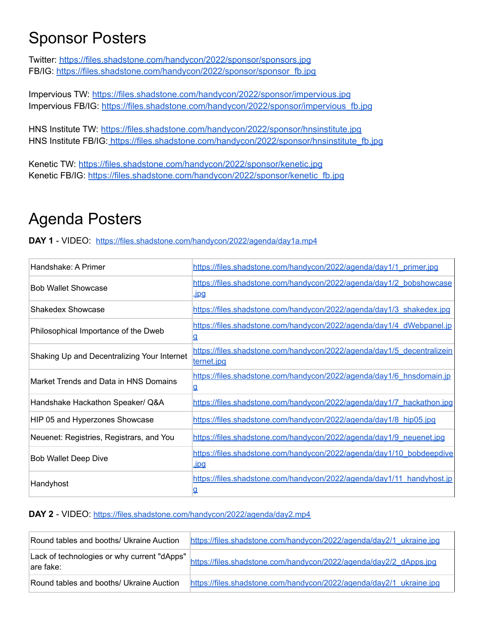### <span id="page-2-0"></span>Sponsor Posters

Twitter: <https://files.shadstone.com/handycon/2022/sponsor/sponsors.jpg> FB/IG: [https://files.shadstone.com/handycon/2022/sponsor/sponsor\\_fb.jpg](https://files.shadstone.com/handycon/2022/sponsor/sponsor_fb.jpg)

Impervious TW: <https://files.shadstone.com/handycon/2022/sponsor/impervious.jpg> Impervious FB/IG: [https://files.shadstone.com/handycon/2022/sponsor/impervious\\_fb.jpg](https://files.shadstone.com/handycon/2022/sponsor/impervious_fb.jpg)

HNS Institute TW: <https://files.shadstone.com/handycon/2022/sponsor/hnsinstitute.jpg> HNS Institute FB/IG: [https://files.shadstone.com/handycon/2022/sponsor/hnsinstitute\\_fb.jpg](https://files.shadstone.com/handycon/2022/sponsor/hnsinstitute_fb.jpg)

Kenetic TW: <https://files.shadstone.com/handycon/2022/sponsor/kenetic.jpg> Kenetic FB/IG: [https://files.shadstone.com/handycon/2022/sponsor/kenetic\\_fb.jpg](https://files.shadstone.com/handycon/2022/sponsor/kenetic_fb.jpg)

## Agenda Posters

**DAY 1** - VIDEO: <https://files.shadstone.com/handycon/2022/agenda/day1a.mp4>

| Handshake: A Primer                         | https://files.shadstone.com/handycon/2022/agenda/day1/1_primer.jpg                   |
|---------------------------------------------|--------------------------------------------------------------------------------------|
| <b>Bob Wallet Showcase</b>                  | https://files.shadstone.com/handycon/2022/agenda/day1/2_bobshowcase<br><u>upq</u>    |
| <b>Shakedex Showcase</b>                    | https://files.shadstone.com/handycon/2022/agenda/day1/3 shakedex.jpg                 |
| Philosophical Importance of the Dweb        | https://files.shadstone.com/handycon/2022/agenda/day1/4 dWebpanel.jp<br><u>q</u>     |
| Shaking Up and Decentralizing Your Internet | https://files.shadstone.com/handycon/2022/agenda/day1/5_decentralizein<br>ternet.jpg |
| Market Trends and Data in HNS Domains       | https://files.shadstone.com/handycon/2022/agenda/day1/6 hnsdomain.jp<br>₫            |
| Handshake Hackathon Speaker/ Q&A            | https://files.shadstone.com/handycon/2022/agenda/day1/7 hackathon.jpg                |
| HIP 05 and Hyperzones Showcase              | https://files.shadstone.com/handycon/2022/agenda/day1/8 hip05.jpg                    |
| Neuenet: Registries, Registrars, and You    | https://files.shadstone.com/handycon/2022/agenda/day1/9 neuenet.jpg                  |
| <b>Bob Wallet Deep Dive</b>                 | https://files.shadstone.com/handycon/2022/agenda/day1/10 bobdeepdive<br><u>ipg.</u>  |
| Handyhost                                   | https://files.shadstone.com/handycon/2022/agenda/day1/11 handyhost.jp                |

#### **DAY 2** - VIDEO: <https://files.shadstone.com/handycon/2022/agenda/day2.mp4>

| Round tables and booths/ Ukraine Auction                  | https://files.shadstone.com/handycon/2022/agenda/day2/1_ukraine.jpg |
|-----------------------------------------------------------|---------------------------------------------------------------------|
| Lack of technologies or why current "dApps"<br>lare fake: | https://files.shadstone.com/handycon/2022/agenda/day2/2_dApps.jpg   |
| Round tables and booths/ Ukraine Auction                  | https://files.shadstone.com/handycon/2022/agenda/day2/1_ukraine.jpg |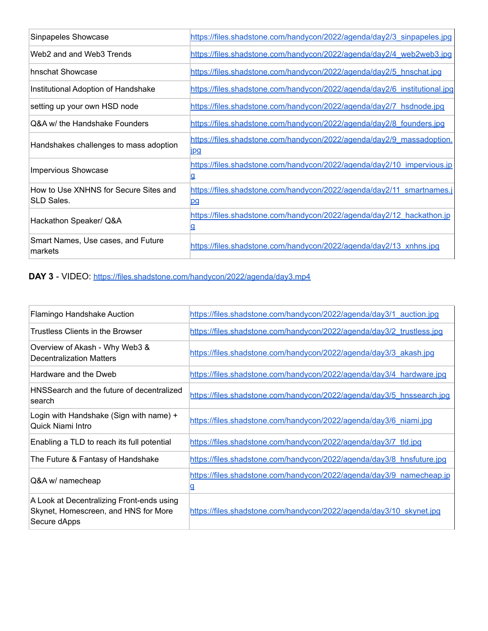| Sinpapeles Showcase                                 | https://files.shadstone.com/handycon/2022/agenda/day2/3 sinpapeles.jpg              |
|-----------------------------------------------------|-------------------------------------------------------------------------------------|
| Web2 and and Web3 Trends                            | https://files.shadstone.com/handycon/2022/agenda/day2/4_web2web3.jpg                |
| hnschat Showcase                                    | https://files.shadstone.com/handycon/2022/agenda/day2/5 hnschat.jpg                 |
| Institutional Adoption of Handshake                 | https://files.shadstone.com/handycon/2022/agenda/day2/6 institutional.jpg           |
| setting up your own HSD node                        | https://files.shadstone.com/handycon/2022/agenda/day2/7 hsdnode.jpg                 |
| Q&A w/ the Handshake Founders                       | https://files.shadstone.com/handycon/2022/agenda/day2/8 founders.jpg                |
| Handshakes challenges to mass adoption              | https://files.shadstone.com/handycon/2022/agenda/day2/9_massadoption.<br><u>ipg</u> |
| <b>Impervious Showcase</b>                          | https://files.shadstone.com/handycon/2022/agenda/day2/10_impervious.jp              |
| How to Use XNHNS for Secure Sites and<br>SLD Sales. | https://files.shadstone.com/handycon/2022/agenda/day2/11 smartnames.j<br>pg         |
| Hackathon Speaker/ Q&A                              | https://files.shadstone.com/handycon/2022/agenda/day2/12 hackathon.jp<br>₫          |
| Smart Names, Use cases, and Future<br>markets       | https://files.shadstone.com/handycon/2022/agenda/day2/13_xnhns.jpg                  |

#### **DAY 3** - VIDEO: <https://files.shadstone.com/handycon/2022/agenda/day3.mp4>

| Flamingo Handshake Auction                                                                        | https://files.shadstone.com/handycon/2022/agenda/day3/1 auction.jpg       |
|---------------------------------------------------------------------------------------------------|---------------------------------------------------------------------------|
| Trustless Clients in the Browser                                                                  | https://files.shadstone.com/handycon/2022/agenda/day3/2_trustless.jpg     |
| Overview of Akash - Why Web3 &<br><b>Decentralization Matters</b>                                 | https://files.shadstone.com/handycon/2022/agenda/day3/3 akash.jpg         |
| Hardware and the Dweb                                                                             | https://files.shadstone.com/handycon/2022/agenda/day3/4 hardware.jpg      |
| HNSSearch and the future of decentralized<br>search                                               | https://files.shadstone.com/handycon/2022/agenda/day3/5 hnssearch.jpg     |
| Login with Handshake (Sign with name) +<br>Quick Niami Intro                                      | https://files.shadstone.com/handycon/2022/agenda/day3/6 niami.jpg         |
| Enabling a TLD to reach its full potential                                                        | https://files.shadstone.com/handycon/2022/agenda/day3/7_tld.jpg           |
| The Future & Fantasy of Handshake                                                                 | https://files.shadstone.com/handycon/2022/agenda/day3/8 hnsfuture.jpg     |
| Q&A w/ namecheap                                                                                  | https://files.shadstone.com/handycon/2022/agenda/day3/9 namecheap.jp<br>g |
| A Look at Decentralizing Front-ends using<br>Skynet, Homescreen, and HNS for More<br>Secure dApps | https://files.shadstone.com/handycon/2022/agenda/day3/10 skynet.jpg       |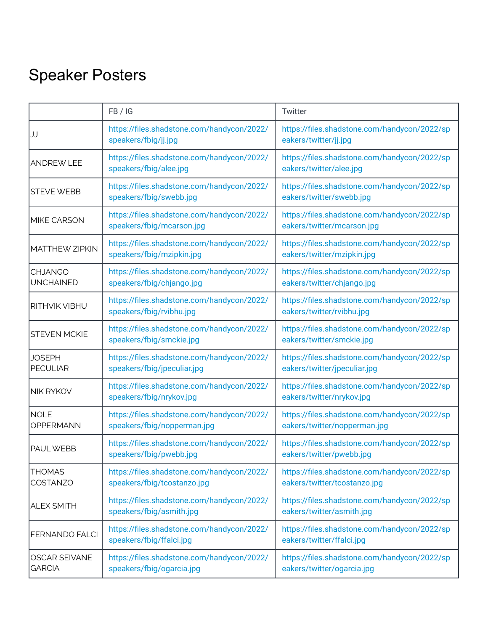# Speaker Posters

|                                       | FB / IG                                                                   | Twitter                                                                      |
|---------------------------------------|---------------------------------------------------------------------------|------------------------------------------------------------------------------|
| JJ                                    | https://files.shadstone.com/handycon/2022/<br>speakers/fbig/jj.jpg        | https://files.shadstone.com/handycon/2022/sp<br>eakers/twitter/jj.jpg        |
| <b>ANDREW LEE</b>                     | https://files.shadstone.com/handycon/2022/<br>speakers/fbig/alee.jpg      | https://files.shadstone.com/handycon/2022/sp<br>eakers/twitter/alee.jpg      |
| <b>STEVE WEBB</b>                     | https://files.shadstone.com/handycon/2022/<br>speakers/fbig/swebb.jpg     | https://files.shadstone.com/handycon/2022/sp<br>eakers/twitter/swebb.jpg     |
| <b>MIKE CARSON</b>                    | https://files.shadstone.com/handycon/2022/<br>speakers/fbig/mcarson.jpg   | https://files.shadstone.com/handycon/2022/sp<br>eakers/twitter/mcarson.jpg   |
| <b>MATTHEW ZIPKIN</b>                 | https://files.shadstone.com/handycon/2022/<br>speakers/fbig/mzipkin.jpg   | https://files.shadstone.com/handycon/2022/sp<br>eakers/twitter/mzipkin.jpg   |
| <b>CHJANGO</b><br><b>UNCHAINED</b>    | https://files.shadstone.com/handycon/2022/<br>speakers/fbig/chjango.jpg   | https://files.shadstone.com/handycon/2022/sp<br>eakers/twitter/chjango.jpg   |
| <b>RITHVIK VIBHU</b>                  | https://files.shadstone.com/handycon/2022/<br>speakers/fbig/rvibhu.jpg    | https://files.shadstone.com/handycon/2022/sp<br>eakers/twitter/rvibhu.jpg    |
| <b>STEVEN MCKIE</b>                   | https://files.shadstone.com/handycon/2022/<br>speakers/fbig/smckie.jpg    | https://files.shadstone.com/handycon/2022/sp<br>eakers/twitter/smckie.jpg    |
| <b>JOSEPH</b><br><b>PECULIAR</b>      | https://files.shadstone.com/handycon/2022/<br>speakers/fbig/jpeculiar.jpg | https://files.shadstone.com/handycon/2022/sp<br>eakers/twitter/jpeculiar.jpg |
| <b>NIK RYKOV</b>                      | https://files.shadstone.com/handycon/2022/<br>speakers/fbig/nrykov.jpg    | https://files.shadstone.com/handycon/2022/sp<br>eakers/twitter/nrykov.jpg    |
| <b>NOLE</b><br>OPPERMANN              | https://files.shadstone.com/handycon/2022/<br>speakers/fbig/nopperman.jpg | https://files.shadstone.com/handycon/2022/sp<br>eakers/twitter/nopperman.jpg |
| <b>PAUL WEBB</b>                      | https://files.shadstone.com/handycon/2022/<br>speakers/fbig/pwebb.jpg     | https://files.shadstone.com/handycon/2022/sp<br>eakers/twitter/pwebb.jpg     |
| <b>THOMAS</b><br>COSTANZO             | https://files.shadstone.com/handycon/2022/<br>speakers/fbig/tcostanzo.jpg | https://files.shadstone.com/handycon/2022/sp<br>eakers/twitter/tcostanzo.jpg |
| <b>ALEX SMITH</b>                     | https://files.shadstone.com/handycon/2022/<br>speakers/fbig/asmith.jpg    | https://files.shadstone.com/handycon/2022/sp<br>eakers/twitter/asmith.jpg    |
| <b>FERNANDO FALCI</b>                 | https://files.shadstone.com/handycon/2022/<br>speakers/fbig/ffalci.jpg    | https://files.shadstone.com/handycon/2022/sp<br>eakers/twitter/ffalci.jpg    |
| <b>OSCAR SEIVANE</b><br><b>GARCIA</b> | https://files.shadstone.com/handycon/2022/<br>speakers/fbig/ogarcia.jpg   | https://files.shadstone.com/handycon/2022/sp<br>eakers/twitter/ogarcia.jpg   |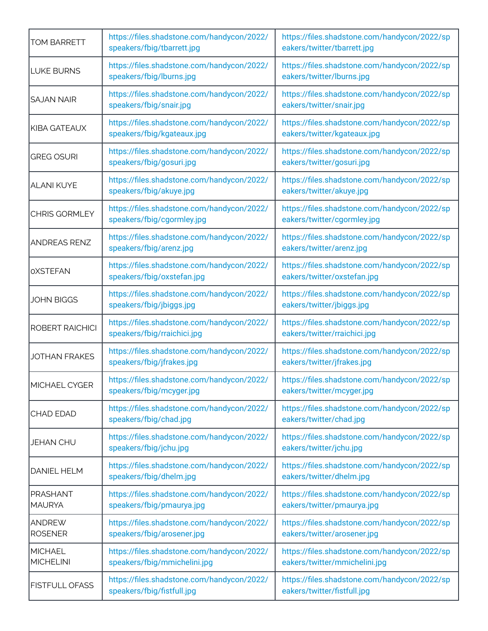| <b>TOM BARRETT</b>               | https://files.shadstone.com/handycon/2022/<br>speakers/fbig/tbarrett.jpg   | https://files.shadstone.com/handycon/2022/sp<br>eakers/twitter/tbarrett.jpg   |
|----------------------------------|----------------------------------------------------------------------------|-------------------------------------------------------------------------------|
| <b>LUKE BURNS</b>                | https://files.shadstone.com/handycon/2022/<br>speakers/fbig/lburns.jpg     | https://files.shadstone.com/handycon/2022/sp<br>eakers/twitter/lburns.jpg     |
| <b>SAJAN NAIR</b>                | https://files.shadstone.com/handycon/2022/<br>speakers/fbig/snair.jpg      | https://files.shadstone.com/handycon/2022/sp<br>eakers/twitter/snair.jpg      |
| KIBA GATEAUX                     | https://files.shadstone.com/handycon/2022/<br>speakers/fbig/kgateaux.jpg   | https://files.shadstone.com/handycon/2022/sp<br>eakers/twitter/kgateaux.jpg   |
| <b>GREG OSURI</b>                | https://files.shadstone.com/handycon/2022/<br>speakers/fbig/gosuri.jpg     | https://files.shadstone.com/handycon/2022/sp<br>eakers/twitter/gosuri.jpg     |
| IALANI KUYE                      | https://files.shadstone.com/handycon/2022/<br>speakers/fbig/akuye.jpg      | https://files.shadstone.com/handycon/2022/sp<br>eakers/twitter/akuye.jpg      |
| <b>CHRIS GORMLEY</b>             | https://files.shadstone.com/handycon/2022/<br>speakers/fbig/cgormley.jpg   | https://files.shadstone.com/handycon/2022/sp<br>eakers/twitter/cgormley.jpg   |
| <b>ANDREAS RENZ</b>              | https://files.shadstone.com/handycon/2022/<br>speakers/fbig/arenz.jpg      | https://files.shadstone.com/handycon/2022/sp<br>eakers/twitter/arenz.jpg      |
| <b>OXSTEFAN</b>                  | https://files.shadstone.com/handycon/2022/<br>speakers/fbig/oxstefan.jpg   | https://files.shadstone.com/handycon/2022/sp<br>eakers/twitter/oxstefan.jpg   |
| <b>JOHN BIGGS</b>                | https://files.shadstone.com/handycon/2022/<br>speakers/fbig/jbiggs.jpg     | https://files.shadstone.com/handycon/2022/sp<br>eakers/twitter/jbiggs.jpg     |
| <b>ROBERT RAICHICI</b>           | https://files.shadstone.com/handycon/2022/<br>speakers/fbig/rraichici.jpg  | https://files.shadstone.com/handycon/2022/sp<br>eakers/twitter/rraichici.jpg  |
| <b>JOTHAN FRAKES</b>             | https://files.shadstone.com/handycon/2022/<br>speakers/fbig/jfrakes.jpg    | https://files.shadstone.com/handycon/2022/sp<br>eakers/twitter/jfrakes.jpg    |
| MICHAEL CYGER                    | https://files.shadstone.com/handycon/2022/<br>speakers/fbig/mcyger.jpg     | https://files.shadstone.com/handycon/2022/sp<br>eakers/twitter/mcyger.jpg     |
| <b>CHAD EDAD</b>                 | https://files.shadstone.com/handycon/2022/<br>speakers/fbig/chad.jpg       | https://files.shadstone.com/handycon/2022/sp<br>eakers/twitter/chad.jpg       |
| <b>JEHAN CHU</b>                 | https://files.shadstone.com/handycon/2022/<br>speakers/fbig/jchu.jpg       | https://files.shadstone.com/handycon/2022/sp<br>eakers/twitter/jchu.jpg       |
| <b>DANIEL HELM</b>               | https://files.shadstone.com/handycon/2022/<br>speakers/fbig/dhelm.jpg      | https://files.shadstone.com/handycon/2022/sp<br>eakers/twitter/dhelm.jpg      |
| <b>PRASHANT</b><br><b>MAURYA</b> | https://files.shadstone.com/handycon/2022/<br>speakers/fbig/pmaurya.jpg    | https://files.shadstone.com/handycon/2022/sp<br>eakers/twitter/pmaurya.jpg    |
| <b>ANDREW</b><br><b>ROSENER</b>  | https://files.shadstone.com/handycon/2022/<br>speakers/fbig/arosener.jpg   | https://files.shadstone.com/handycon/2022/sp<br>eakers/twitter/arosener.jpg   |
| MICHAEL<br><b>MICHELINI</b>      | https://files.shadstone.com/handycon/2022/<br>speakers/fbig/mmichelini.jpg | https://files.shadstone.com/handycon/2022/sp<br>eakers/twitter/mmichelini.jpg |
| FISTFULL OFASS                   | https://files.shadstone.com/handycon/2022/<br>speakers/fbig/fistfull.jpg   | https://files.shadstone.com/handycon/2022/sp<br>eakers/twitter/fistfull.jpg   |